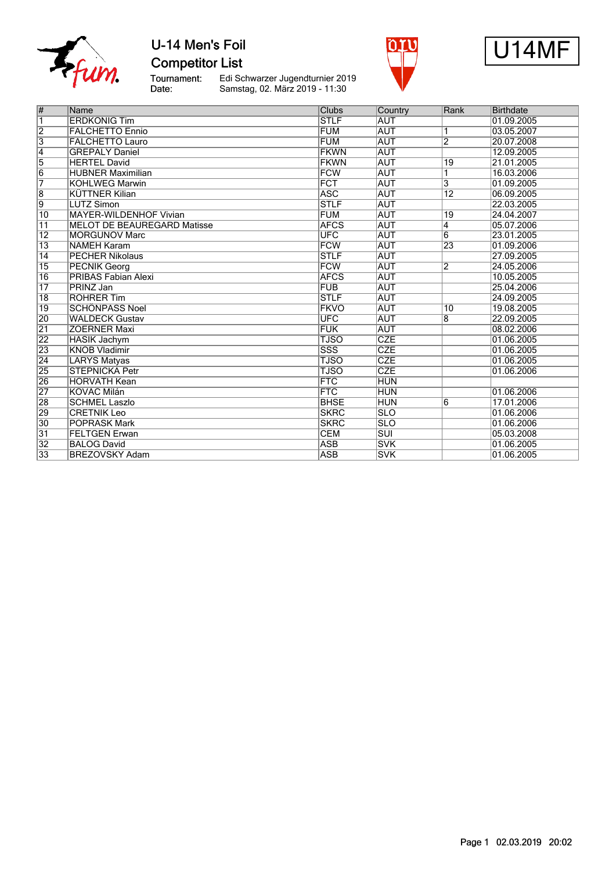

## U-14 Men's Foil **Competitor List**

Tournament:<br>Date:

Edi Schwarzer Jugendturnier 2019 Samstag, 02. März 2019 - 11:30





| $\overline{\#}$         | Name                               | <b>Clubs</b>            | Country                 | Rank            | <b>Birthdate</b> |
|-------------------------|------------------------------------|-------------------------|-------------------------|-----------------|------------------|
| $\overline{\mathbb{1}}$ | <b>ERDKÖNIG Tim</b>                | <b>STLF</b>             | <b>AUT</b>              |                 | 01.09.2005       |
| $\overline{2}$          | <b>FALCHETTO Ennio</b>             | <b>FUM</b>              | <b>AUT</b>              | 1               | 03.05.2007       |
| $\overline{3}$          | <b>FALCHETTO Lauro</b>             | <b>FUM</b>              | <b>AUT</b>              | $\overline{2}$  | 20.07.2008       |
| $\overline{4}$          | <b>GREPALY Daniel</b>              | <b>FKWN</b>             | <b>AUT</b>              |                 | 12.09.2005       |
| 5                       | <b>HERTEL David</b>                | <b>FKWN</b>             | <b>AUT</b>              | $\overline{19}$ | 21.01.2005       |
| $\overline{6}$          | <b>HUBNER Maximilian</b>           | <b>FCW</b>              | <b>AUT</b>              | 1               | 16.03.2006       |
| $\overline{7}$          | <b>KOHLWEG Marwin</b>              | FCT                     | <b>AUT</b>              | 3               | 01.09.2005       |
| 8                       | <b>KÜTTNER Kilian</b>              | <b>ASC</b>              | <b>AUT</b>              | $\overline{12}$ | 06.09.2005       |
| $\overline{9}$          | <b>LUTZ Simon</b>                  | <b>STLF</b>             | <b>AUT</b>              |                 | 22.03.2005       |
| 10                      | <b>MAYER-WILDENHOF Vivian</b>      | <b>FUM</b>              | <b>AUT</b>              | 19              | 24.04.2007       |
| $\overline{11}$         | <b>MELOT DE BEAUREGARD Matisse</b> | <b>AFCS</b>             | <b>AUT</b>              | 4               | 05.07.2006       |
| $\overline{12}$         | <b>MORGUNOV Marc</b>               | <b>UFC</b>              | <b>AUT</b>              | $\overline{6}$  | 23.01.2005       |
| $\overline{13}$         | <b>NAMEH Karam</b>                 | FCW                     | <b>AUT</b>              | 23              | 01.09.2006       |
| 14                      | <b>PECHER Nikolaus</b>             | <b>STLF</b>             | <b>AUT</b>              |                 | 27.09.2005       |
| $\overline{15}$         | <b>PECNIK Georg</b>                | <b>FCW</b>              | <b>AUT</b>              | $\overline{2}$  | 24.05.2006       |
| 16                      | PRIBAS Fabian Alexi                | <b>AFCS</b>             | <b>AUT</b>              |                 | 10.05.2005       |
| $\overline{17}$         | PRINZ Jan                          | <b>FUB</b>              | <b>AUT</b>              |                 | 25.04.2006       |
| $\overline{18}$         | <b>ROHRER Tim</b>                  | <b>STLF</b>             | <b>AUT</b>              |                 | 24.09.2005       |
| $\overline{19}$         | <b>SCHÖNPASS Noel</b>              | <b>FKVO</b>             | <b>AUT</b>              | 10              | 19.08.2005       |
| 20                      | <b>WALDECK Gustav</b>              | <b>UFC</b>              | <b>AUT</b>              | 8               | 22.09.2005       |
| $\overline{21}$         | <b>ZOERNER Maxi</b>                | <b>FUK</b>              | <b>AUT</b>              |                 | 08.02.2006       |
| $\overline{22}$         | <b>HASIK Jachym</b>                | <b>TJSO</b>             | <b>CZE</b>              |                 | 01.06.2005       |
| $\overline{23}$         | <b>KNOB Vladimir</b>               | $\overline{\text{SSS}}$ | <b>CZE</b>              |                 | 01.06.2005       |
| $\overline{24}$         | <b>LARYS Matyas</b>                | <b>TJSO</b>             | <b>CZE</b>              |                 | 01.06.2005       |
| 25                      | <b>STEPNICKA Petr</b>              | <b>TJSO</b>             | CZE                     |                 | 01.06.2006       |
| 26                      | <b>HORVATH Kean</b>                | FTC                     | <b>HUN</b>              |                 |                  |
| $\overline{27}$         | <b>KOVÁC Milán</b>                 | <b>FTC</b>              | <b>HUN</b>              |                 | 01.06.2006       |
| 28                      | <b>SCHMEL Laszlo</b>               | <b>BHSE</b>             | <b>HUN</b>              | 6               | 17.01.2006       |
| 29                      | <b>CRETNIK Leo</b>                 | <b>SKRC</b>             | $\overline{\text{SLO}}$ |                 | 01.06.2006       |
| $\overline{30}$         | <b>POPRASK Mark</b>                | <b>SKRC</b>             | <b>SLO</b>              |                 | 01.06.2006       |
| $\overline{31}$         | <b>FELTGEN Erwan</b>               | <b>CEM</b>              | $\overline{\text{SUI}}$ |                 | 05.03.2008       |
| $\overline{32}$         | <b>BALOG David</b>                 | <b>ASB</b>              | <b>SVK</b>              |                 | 01.06.2005       |
| 33                      | <b>BREZOVSKY Adam</b>              | <b>ASB</b>              | <b>SVK</b>              |                 | 01.06.2005       |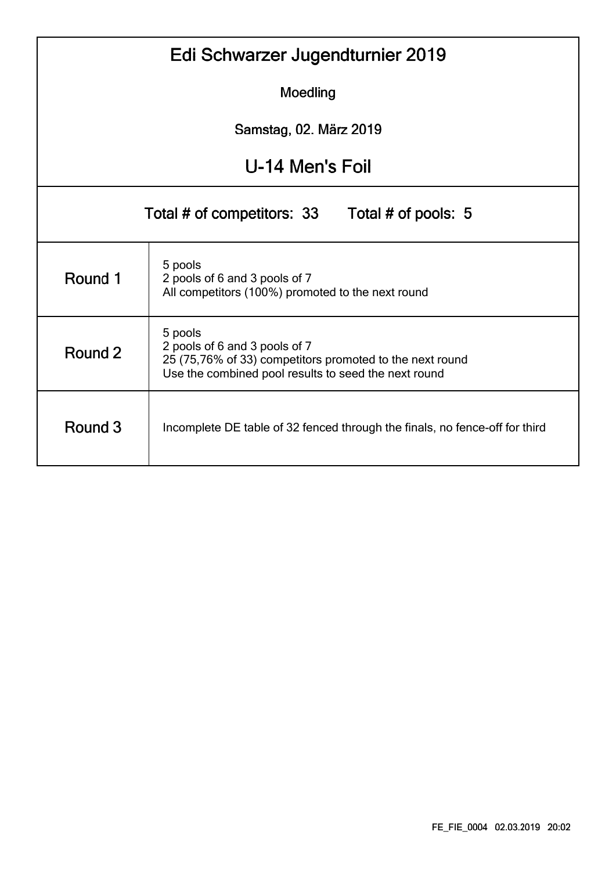|                                                   | Edi Schwarzer Jugendturnier 2019                                                                                                                             |  |  |  |  |  |  |  |  |  |  |  |  |
|---------------------------------------------------|--------------------------------------------------------------------------------------------------------------------------------------------------------------|--|--|--|--|--|--|--|--|--|--|--|--|
|                                                   | Moedling                                                                                                                                                     |  |  |  |  |  |  |  |  |  |  |  |  |
|                                                   | Samstag, 02. März 2019                                                                                                                                       |  |  |  |  |  |  |  |  |  |  |  |  |
|                                                   | U-14 Men's Foil                                                                                                                                              |  |  |  |  |  |  |  |  |  |  |  |  |
| Total # of competitors: 33<br>Total # of pools: 5 |                                                                                                                                                              |  |  |  |  |  |  |  |  |  |  |  |  |
| Round 1                                           | 5 pools<br>2 pools of 6 and 3 pools of 7<br>All competitors (100%) promoted to the next round                                                                |  |  |  |  |  |  |  |  |  |  |  |  |
| Round 2                                           | 5 pools<br>2 pools of 6 and 3 pools of 7<br>25 (75,76% of 33) competitors promoted to the next round<br>Use the combined pool results to seed the next round |  |  |  |  |  |  |  |  |  |  |  |  |
| Round 3                                           | Incomplete DE table of 32 fenced through the finals, no fence-off for third                                                                                  |  |  |  |  |  |  |  |  |  |  |  |  |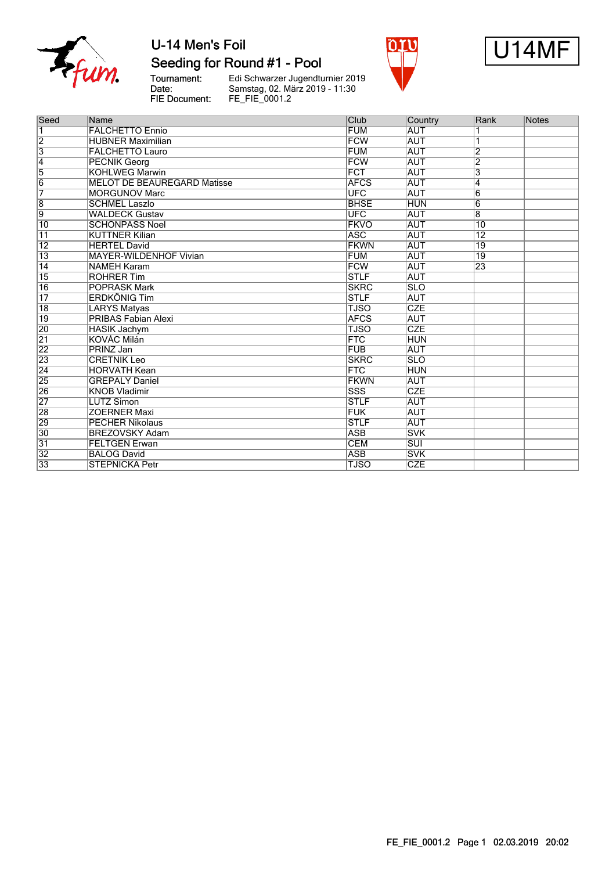

### Seeding for Round #1 - Pool

Tournament:<br>Date: FIE Document:

Edi Schwarzer Jugendturnier 2019<br>Samstag, 02. März 2019 - 11:30<br>FE\_FIE\_0001.2





| Seed                    | Name                               | Club        | Country                 | Rank            | Notes |
|-------------------------|------------------------------------|-------------|-------------------------|-----------------|-------|
|                         | <b>FALCHETTO Ennio</b>             | <b>FUM</b>  | <b>AUT</b>              |                 |       |
| $\overline{2}$          | <b>HUBNER Maximilian</b>           | <b>FCW</b>  | <b>AUT</b>              |                 |       |
| $\overline{\mathbf{3}}$ | <b>FALCHETTO Lauro</b>             | <b>FUM</b>  | <b>AUT</b>              | $\overline{2}$  |       |
| 4                       | <b>PECNIK Georg</b>                | <b>FCW</b>  | <b>AUT</b>              | $\overline{2}$  |       |
| $\overline{5}$          | <b>KOHLWEG Marwin</b>              | <b>FCT</b>  | <b>AUT</b>              | 3               |       |
| $\overline{6}$          | <b>MELOT DE BEAUREGARD Matisse</b> | <b>AFCS</b> | <b>AUT</b>              | 4               |       |
| 7                       | <b>MORGUNOV Marc</b>               | <b>UFC</b>  | <b>AUT</b>              | $\overline{6}$  |       |
| $\overline{8}$          | <b>SCHMEL Laszlo</b>               | <b>BHSE</b> | <b>HUN</b>              | $\overline{6}$  |       |
| $\overline{9}$          | <b>WALDECK Gustav</b>              | <b>UFC</b>  | <b>AUT</b>              | $\overline{8}$  |       |
| 10                      | <b>SCHÖNPASS Noel</b>              | <b>FKVO</b> | <b>AUT</b>              | 10              |       |
| 11                      | <b>KÜTTNER Kilian</b>              | <b>ASC</b>  | <b>AUT</b>              | $\overline{12}$ |       |
| $\overline{12}$         | <b>HERTEL David</b>                | <b>FKWN</b> | <b>AUT</b>              | 19              |       |
| $\overline{13}$         | <b>MAYER-WILDENHOF Vivian</b>      | <b>FUM</b>  | <b>AUT</b>              | 19              |       |
| $\overline{14}$         | <b>NAMEH Karam</b>                 | <b>FCW</b>  | <b>AUT</b>              | $\overline{23}$ |       |
| $\overline{15}$         | <b>ROHRER Tim</b>                  | <b>STLF</b> | <b>AUT</b>              |                 |       |
| 16                      | <b>POPRASK Mark</b>                | <b>SKRC</b> | <b>SLO</b>              |                 |       |
| $\overline{17}$         | <b>ERDKÖNIG Tim</b>                | <b>STLF</b> | <b>AUT</b>              |                 |       |
| $\overline{18}$         | <b>LARYS Matyas</b>                | <b>TJSO</b> | CZE                     |                 |       |
| $\overline{19}$         | <b>PRIBAS Fabian Alexi</b>         | <b>AFCS</b> | <b>AUT</b>              |                 |       |
| 20                      | <b>HASIK Jachym</b>                | <b>TJSO</b> | <b>CZE</b>              |                 |       |
| $\overline{21}$         | KOVÁC Milán                        | <b>FTC</b>  | <b>HUN</b>              |                 |       |
| $\overline{22}$         | PRINZ Jan                          | <b>FUB</b>  | <b>AUT</b>              |                 |       |
| 23                      | <b>CRETNIK Leo</b>                 | <b>SKRC</b> | $\overline{\text{SLO}}$ |                 |       |
| $\overline{24}$         | <b>HORVATH Kean</b>                | <b>FTC</b>  | <b>HUN</b>              |                 |       |
| $\overline{25}$         | <b>GREPALY Daniel</b>              | <b>FKWN</b> | <b>AUT</b>              |                 |       |
| 26                      | <b>KNOB Vladimir</b>               | SSS         | <b>CZE</b>              |                 |       |
| 27                      | <b>LUTZ Simon</b>                  | <b>STLF</b> | <b>AUT</b>              |                 |       |
| 28                      | <b>ZOERNER Maxi</b>                | <b>FUK</b>  | <b>AUT</b>              |                 |       |
| 29                      | <b>PECHER Nikolaus</b>             | <b>STLF</b> | <b>AUT</b>              |                 |       |
| $\overline{30}$         | <b>BREZOVSKY Adam</b>              | <b>ASB</b>  | <b>SVK</b>              |                 |       |
| $\overline{31}$         | <b>FELTGEN Erwan</b>               | <b>CEM</b>  | $\overline{\text{SUI}}$ |                 |       |
| $\overline{32}$         | <b>BALOG David</b>                 | <b>ASB</b>  | <b>SVK</b>              |                 |       |
| 33                      | <b>STEPNICKA Petr</b>              | <b>TJSO</b> | <b>CZE</b>              |                 |       |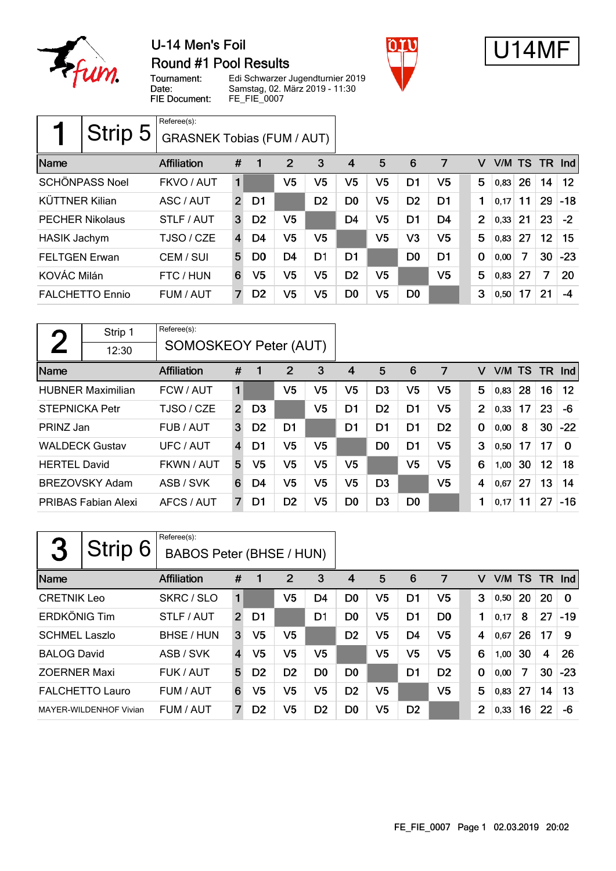

### U-14 Men's Foil **Round #1 Pool Results**





Tournament: Date: FIE Document:

Edi Schwarzer Jugendturnier 2019 Samstag, 02. März 2019 - 11:30 FE\_FIE\_0007

|                        | Strip 5 | Referee(s):<br><b>GRASNEK Tobias (FUM / AUT)</b> |                |                |                |                |                |                |                |                |                |      |    |    |         |
|------------------------|---------|--------------------------------------------------|----------------|----------------|----------------|----------------|----------------|----------------|----------------|----------------|----------------|------|----|----|---------|
| Name                   |         | Affiliation                                      | #              |                | $\overline{2}$ | 3              | 4              | 5              | 6              | 7              | v              | V/M  | TS | TR | $\ln d$ |
| <b>SCHÖNPASS Noel</b>  |         | FKVO / AUT                                       | 1              |                | V5             | V5             | V5             | V5             | D <sub>1</sub> | V5             | 5              | 0,83 | 26 | 14 | $12 \,$ |
| <b>KÜTTNER Kilian</b>  |         | ASC / AUT                                        | $\overline{2}$ | D1             |                | D <sub>2</sub> | D <sub>0</sub> | V5             | D <sub>2</sub> | D <sub>1</sub> | 1              | 0.17 | 11 | 29 | $-18$   |
| <b>PECHER Nikolaus</b> |         | STLF / AUT                                       | 3              | D <sub>2</sub> | V5             |                | D <sub>4</sub> | V5             | D <sub>1</sub> | D4             | $\overline{2}$ | 0,33 | 21 | 23 | $-2$    |
| <b>HASIK Jachym</b>    |         | TJSO / CZE                                       | $\overline{4}$ | D4             | V5             | V5             |                | V5             | V3             | V <sub>5</sub> | 5              | 0,83 | 27 | 12 | 15      |
| <b>FELTGEN Erwan</b>   |         | CEM / SUI                                        | 5              | D <sub>0</sub> | D <sub>4</sub> | D <sub>1</sub> | D <sub>1</sub> |                | D <sub>0</sub> | D <sub>1</sub> | $\mathbf 0$    | 0,00 | 7  | 30 | $-23$   |
| KOVÁC Milán            |         | FTC / HUN                                        | 6              | V5             | V <sub>5</sub> | V5             | D <sub>2</sub> | V <sub>5</sub> |                | V <sub>5</sub> | 5              | 0,83 | 27 | 7  | 20      |
| <b>FALCHETTO Ennio</b> |         | FUM / AUT                                        | 7              | D <sub>2</sub> | V5             | V5             | D <sub>0</sub> | V <sub>5</sub> | D <sub>0</sub> |                | 3              | 0,50 | 17 | 21 | -4      |

| $\boldsymbol{\mathcal{D}}$ | Strip 1                    | Referee(s):                  |                |                |                |                |                |                |                |                |                |      |           |     |          |
|----------------------------|----------------------------|------------------------------|----------------|----------------|----------------|----------------|----------------|----------------|----------------|----------------|----------------|------|-----------|-----|----------|
|                            | 12:30                      | <b>SOMOSKEOY Peter (AUT)</b> |                |                |                |                |                |                |                |                |                |      |           |     |          |
| Name                       |                            | Affiliation                  | #              | 1              | 2              | 3              | 4              | 5              | 6              | 7              | v              | V/M  | <b>TS</b> | TR. | $\ln d$  |
|                            | <b>HUBNER Maximilian</b>   | FCW / AUT                    | 1              |                | V <sub>5</sub> | V5             | V5             | D <sub>3</sub> | V <sub>5</sub> | V5             | 5              | 0.83 | 28        | 16  | $12 \,$  |
| <b>STEPNICKA Petr</b>      |                            | TJSO / CZE                   | $\overline{2}$ | D <sub>3</sub> |                | V <sub>5</sub> | D1             | D <sub>2</sub> | D1             | V5             | $\overline{2}$ | 0,33 | 17        | 23  | -6       |
| PRINZ Jan                  |                            | FUB / AUT                    | 3              | D <sub>2</sub> | D <sub>1</sub> |                | D1             | D <sub>1</sub> | D1             | D <sub>2</sub> | $\mathbf 0$    | 0,00 | 8         | 30  | $-22$    |
|                            | <b>WALDECK Gustav</b>      | UFC / AUT                    | 4              | D1             | V <sub>5</sub> | V5             |                | D <sub>0</sub> | D1             | V5             | 3              | 0,50 | 17        | 17  | $\Omega$ |
| <b>HERTEL David</b>        |                            | FKWN / AUT                   | 5              | V5             | V <sub>5</sub> | V5             | V5             |                | V <sub>5</sub> | V5             | 6              | 1,00 | 30        | 12  | 18       |
|                            | <b>BREZOVSKY Adam</b>      | ASB / SVK                    | 6              | D4             | V <sub>5</sub> | V5             | V5             | D <sub>3</sub> |                | V5             | 4              | 0,67 | 27        | 13  | 14       |
|                            | <b>PRIBAS Fabian Alexi</b> | AFCS / AUT                   | 7              | D1             | D <sub>2</sub> | V5             | D <sub>0</sub> | D <sub>3</sub> | D <sub>0</sub> |                | 1              | 0,17 | 11        | 27  | $-16$    |

| 2                    | Strip 6                | Referee(s):<br><b>BABOS Peter (BHSE / HUN)</b> |                |                |                |                |                |                |                |                |                |        |    |     |          |
|----------------------|------------------------|------------------------------------------------|----------------|----------------|----------------|----------------|----------------|----------------|----------------|----------------|----------------|--------|----|-----|----------|
| Name                 |                        | Affiliation                                    | #              | 1              | $\overline{2}$ | 3              | 4              | 5              | 6              | 7              | v              | V/M TS |    | TR. | Ind      |
| <b>CRETNIK Leo</b>   |                        | SKRC / SLO                                     | 1              |                | V5             | D <sub>4</sub> | D <sub>0</sub> | V <sub>5</sub> | D1             | V5             | 3              | 0,50   | 20 | 20  | $\Omega$ |
| <b>ERDKÖNIG Tim</b>  |                        | STLF / AUT                                     | $\overline{2}$ | D1             |                | D1             | D0             | V5             | D1             | D <sub>0</sub> | 1              | 0,17   | 8  | 27  | $-19$    |
| <b>SCHMEL Laszlo</b> |                        | BHSE / HUN                                     | 3              | V5             | V5             |                | D <sub>2</sub> | V <sub>5</sub> | D4             | V <sub>5</sub> | 4              | 0.67   | 26 | 17  | 9        |
| <b>BALOG David</b>   |                        | ASB / SVK                                      | $\overline{4}$ | V5             | V <sub>5</sub> | V5             |                | V <sub>5</sub> | V5             | V5             | 6              | 1,00   | 30 | 4   | 26       |
| <b>ZOERNER Maxi</b>  |                        | FUK / AUT                                      | 5              | D <sub>2</sub> | D <sub>2</sub> | D <sub>0</sub> | D <sub>0</sub> |                | D <sub>1</sub> | D <sub>2</sub> | 0              | 0,00   | 7  | 30  | $-23$    |
|                      | <b>FALCHETTO Lauro</b> | FUM / AUT                                      | 6              | V5             | V5             | V <sub>5</sub> | D <sub>2</sub> | V5             |                | V <sub>5</sub> | 5              | 0,83   | 27 | 14  | 13       |
|                      | MAYER-WILDENHOF Vivian | FUM / AUT                                      | 7              | D <sub>2</sub> | V5             | D <sub>2</sub> | D <sub>0</sub> | V5             | D <sub>2</sub> |                | $\overline{2}$ | 0,33   | 16 | 22  | -6       |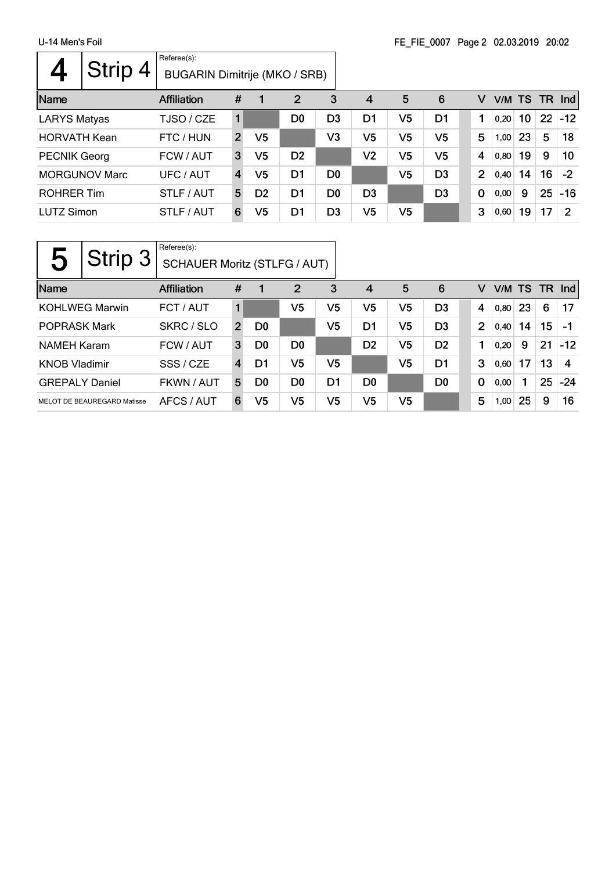$\mathsf{r}$ 

|                     | Strip 4              | Referee(s):<br>BUGARIN Dimitrije (MKO / SRB) |                         |                |                |                |                |    |                |   |                |        |                 |     |            |
|---------------------|----------------------|----------------------------------------------|-------------------------|----------------|----------------|----------------|----------------|----|----------------|---|----------------|--------|-----------------|-----|------------|
| Name                |                      | Affiliation                                  | #                       |                | $\overline{2}$ | 3              | $\overline{4}$ | 5  | 6              |   | V              | V/M TS |                 | TR. | <b>Ind</b> |
| <b>LARYS Matyas</b> |                      | TJSO / CZE                                   |                         |                | D <sub>0</sub> | D <sub>3</sub> | D1             | V5 | D1             |   |                | 0,20   | 10 <sup>°</sup> | 22  | $-12$      |
| <b>HORVATH Kean</b> |                      | FTC / HUN                                    | $\overline{2}$          | V5             |                | V3             | V5             | V5 | V <sub>5</sub> |   | 5              | 1,00   | 23              | 5   | 18         |
| <b>PECNIK Georg</b> |                      | FCW / AUT                                    | 3                       | V5             | D <sub>2</sub> |                | V2             | V5 | V <sub>5</sub> |   | 4              | 0,80   | 19              | 9   | 10         |
|                     | <b>MORGUNOV Marc</b> | UFC / AUT                                    | $\overline{\mathbf{4}}$ | V5             | D1             | D <sub>0</sub> |                | V5 | D <sub>3</sub> |   | $\overline{2}$ | 0,40   | 14              | 16  | $-2$       |
| <b>ROHRER Tim</b>   |                      | STLF / AUT                                   | 5                       | D <sub>2</sub> | D1             | D <sub>0</sub> | D <sub>3</sub> |    | D <sub>3</sub> | 0 |                | 0,00   | 9               | 25  | $-16$      |
| <b>LUTZ Simon</b>   |                      | STLF / AUT                                   | 6                       | V5             | D1             | D <sub>3</sub> | V5             | V5 |                |   | 3              | 0,60   | 19              | 17  | 2          |

|                       | Strip 3                     | Referee(s):<br><b>SCHAUER Moritz (STLFG / AUT)</b> |                |                |                |    |                |                |                |                |        |    |           |       |
|-----------------------|-----------------------------|----------------------------------------------------|----------------|----------------|----------------|----|----------------|----------------|----------------|----------------|--------|----|-----------|-------|
| Name                  |                             | <b>Affiliation</b>                                 | #              |                | 2              | 3  | 4              | 5              | 6              | v              | V/M TS |    | <b>TR</b> | Ind   |
|                       | <b>KOHLWEG Marwin</b>       | FCT / AUT                                          |                |                | V5             | V5 | V5             | V5             | D <sub>3</sub> | 4              | 0,80   | 23 | 6         | 17    |
| <b>POPRASK Mark</b>   |                             | SKRC / SLO                                         | $\overline{2}$ | D <sub>0</sub> |                | V5 | D1             | V5             | D <sub>3</sub> | $\overline{2}$ | 0,40   | 14 | 15        | -1    |
| <b>NAMEH Karam</b>    |                             | FCW / AUT                                          | 3              | D <sub>0</sub> | D <sub>0</sub> |    | D <sub>2</sub> | V5             | D <sub>2</sub> | 1              | 0,20   | 9  | 21        | $-12$ |
| <b>KNOB Vladimir</b>  |                             | SSS / CZE                                          | 4              | D1             | V5             | V5 |                | V <sub>5</sub> | D1             | 3              | 0.60   | 17 | 13        | 4     |
| <b>GREPALY Daniel</b> |                             | FKWN / AUT                                         | 5              | D <sub>0</sub> | D <sub>0</sub> | D1 | D <sub>0</sub> |                | D <sub>0</sub> | 0              | 0,00   | 1  | 25        | -24   |
|                       | MELOT DE BEAUREGARD Matisse | AFCS / AUT                                         | 6              | V5             | V <sub>5</sub> | V5 | V5             | V5             |                | 5              | 1,00   | 25 | 9         | 16    |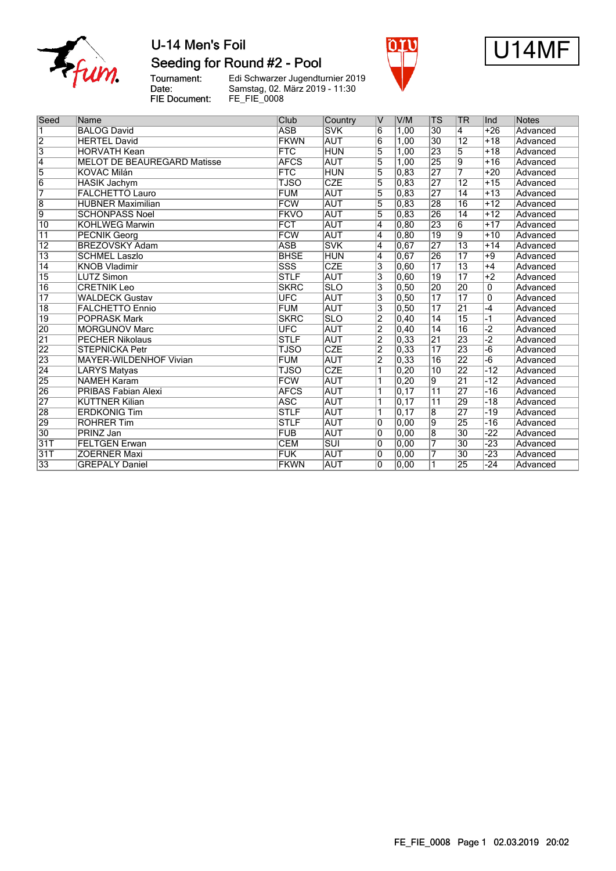

Seeding for Round #2 - Pool

Tournament:<br>Date: FIE Document: Edi Schwarzer Jugendturnier 2019<br>Samstag, 02. März 2019 - 11:30<br>FE\_FIE\_0008





| Seed            | Name                                         | Club                    | Country                  | V                       | V/M               | <b>TS</b>       | <b>TR</b>             | Ind             | <b>Notes</b>                |
|-----------------|----------------------------------------------|-------------------------|--------------------------|-------------------------|-------------------|-----------------|-----------------------|-----------------|-----------------------------|
| 1               | <b>BALOG David</b>                           | <b>ASB</b>              | <b>SVK</b>               | 6                       | 1,00              | 30              | 4                     | $+26$           | Advanced                    |
| $\overline{2}$  | <b>HERTEL David</b>                          | <b>FKWN</b>             | <b>AUT</b>               | 6                       | 1,00              | 30              | $\overline{12}$       | $+18$           | Advanced                    |
| $\overline{3}$  | <b>HORVATH Kean</b>                          | <b>FTC</b>              | <b>HUN</b>               | $\overline{5}$          | 1.00              | $\overline{23}$ | $\overline{5}$        | $+18$           | Advanced                    |
| $\overline{4}$  | <b>MELOT DE BEAUREGARD Matisse</b>           | <b>AFCS</b>             | <b>AUT</b>               | $\overline{5}$          | 1,00              | 25              | $\overline{9}$        | $+16$           | Advanced                    |
| 5               | <b>KOVÁC Milán</b>                           | <b>FTC</b>              | <b>HUN</b>               | $\overline{5}$          | 0,83              | $\overline{27}$ | 7                     | $+20$           | Advanced                    |
| $\overline{6}$  | <b>HASIK Jachym</b>                          | <b>TJSO</b>             | CZE                      | 5                       | 0,83              | 27              | $\overline{12}$       | $+15$           | Advanced                    |
| 7               | <b>FALCHETTO Lauro</b>                       | <b>FUM</b>              | <b>AUT</b>               | 5                       | 0.83              | $\overline{27}$ | $\overline{14}$       | $+13$           | Advanced                    |
| $\overline{8}$  | <b>HUBNER Maximilian</b>                     | <b>FCW</b>              | <b>AUT</b>               | 5                       | 0.83              | 28              | 16                    | $+12$           | Advanced                    |
| 9               | <b>SCHÖNPASS Noel</b>                        | <b>FKVO</b>             | <b>AUT</b>               | $\overline{5}$          | 0,83              | 26              | $\overline{14}$       | $+12$           | Advanced                    |
| $\overline{10}$ | <b>KOHLWEG Marwin</b>                        | <b>FCT</b>              |                          | $\overline{4}$          |                   | 23              | $\overline{6}$        | $+17$           | Advanced                    |
| $\overline{11}$ |                                              | <b>FCW</b>              | <b>AUT</b>               | 4                       | 0, 80<br>0.80     | 19              | $\overline{9}$        | $+10$           |                             |
| $\overline{12}$ | <b>PECNIK Georg</b><br><b>BREZOVSKY Adam</b> | <b>ASB</b>              | <b>AUT</b><br><b>SVK</b> | $\overline{4}$          | 0,67              | 27              | $\overline{13}$       | $+14$           | Advanced<br><b>Advanced</b> |
| $\overline{13}$ | <b>SCHMEL Laszlo</b>                         | <b>BHSE</b>             | <b>HUN</b>               | $\overline{4}$          | 0.67              | 26              | $\overline{17}$       | $+9$            | Advanced                    |
| $\overline{14}$ | <b>KNOB Vladimir</b>                         | $\overline{\text{SSS}}$ | CZE                      | 3                       | 0.60              | $\overline{17}$ | $\overline{13}$       | $+4$            | Advanced                    |
| $\overline{15}$ | <b>LUTZ Simon</b>                            | <b>STLF</b>             | <b>AUT</b>               | $\overline{3}$          | 0,60              | 19              | $\overline{17}$       | $+2$            | Advanced                    |
|                 |                                              |                         |                          |                         |                   |                 |                       |                 |                             |
| $\overline{16}$ | <b>CRETNIK Leo</b>                           | <b>SKRC</b>             | $\overline{\text{SLO}}$  | $\overline{\mathbf{3}}$ | 0,50              | 20              | 20<br>$\overline{17}$ | $\mathbf{0}$    | Advanced                    |
| $\overline{17}$ | <b>WALDECK Gustav</b>                        | <b>UFC</b>              | <b>AUT</b>               | $\overline{3}$          | 0, 50             | $\overline{17}$ |                       | $\overline{0}$  | Advanced                    |
| $\overline{18}$ | <b>FALCHETTO Ennio</b>                       | <b>FUM</b>              | <b>AUT</b>               | 3                       | 0.50              | $\overline{17}$ | 21                    | $-4$            | Advanced                    |
| $\overline{19}$ | <b>POPRASK Mark</b>                          | <b>SKRC</b>             | <b>SLO</b>               | $\overline{2}$          | 0.40              | $\overline{14}$ | $\overline{15}$       | -1              | Advanced                    |
| 20              | <b>MORGUNOV Marc</b>                         | <b>UFC</b>              | <b>AUT</b>               | $\overline{2}$          | 0, 40             | $\overline{14}$ | 16                    | $-2$            | Advanced                    |
| $\overline{21}$ | <b>PECHER Nikolaus</b>                       | <b>STLF</b>             | <b>AUT</b>               | $\overline{2}$          | 0,33              | $\overline{21}$ | 23                    | $-2$            | Advanced                    |
| $\overline{22}$ | <b>STEPNICKA Petr</b>                        | <b>TJSO</b>             | <b>CZE</b>               | $\overline{2}$          | 0,33              | $\overline{17}$ | 23                    | $-6$            | Advanced                    |
| 23              | <b>MAYER-WILDENHOF Vivian</b>                | <b>FUM</b>              | <b>AUT</b>               | $\overline{2}$          | 0,33              | 16              | $\overline{22}$       | $-\overline{6}$ | Advanced                    |
| $\overline{24}$ | <b>LARYS Matyas</b>                          | <b>TJSO</b>             | CZE                      | 1                       | 0, 20             | 10              | 22                    | $-12$           | <b>Advanced</b>             |
| 25              | <b>NAMEH Karam</b>                           | <b>FCW</b>              | <b>AUT</b>               | 1                       | 0.20              | 9               | $\overline{21}$       | $-12$           | Advanced                    |
| 26              | <b>PRIBAS Fabian Alexi</b>                   | <b>AFCS</b>             | <b>AUT</b>               | 1                       | 0, 17             | $\overline{11}$ | 27                    | $-16$           | Advanced                    |
| 27              | <b>KÜTTNER Kilian</b>                        | <b>ASC</b>              | <b>AUT</b>               | 1                       | $\overline{0,17}$ | $\overline{11}$ | 29                    | $-18$           | Advanced                    |
| 28              | <b>ERDKÖNIG Tim</b>                          | <b>STLF</b>             | <b>AUT</b>               | 1                       | $\overline{0,17}$ | $\overline{8}$  | $\overline{27}$       | $-19$           | Advanced                    |
| 29              | <b>ROHRER Tim</b>                            | <b>STLF</b>             | <b>AUT</b>               | $\overline{0}$          | 0,00              | $\overline{9}$  | $\overline{25}$       | $-16$           | Advanced                    |
| $\overline{30}$ | <b>PRINZ Jan</b>                             | <b>FUB</b>              | <b>AUT</b>               | 0                       | 0,00              | $\overline{8}$  | $\overline{30}$       | $-22$           | Advanced                    |
| 31T             | <b>FELTGEN Erwan</b>                         | <b>CEM</b>              | SUI                      | $\overline{0}$          | 0,00              | 7               | 30                    | $-23$           | Advanced                    |
| 31T             | <b>ZOERNER Maxi</b>                          | <b>FUK</b>              | <b>AUT</b>               | $\overline{0}$          | 0,00              | 7               | $\overline{30}$       | $-23$           | Advanced                    |
| 33              | <b>GREPALY Daniel</b>                        | <b>FKWN</b>             | <b>AUT</b>               | 0                       | 0,00              | 1               | 25                    | $-24$           | Advanced                    |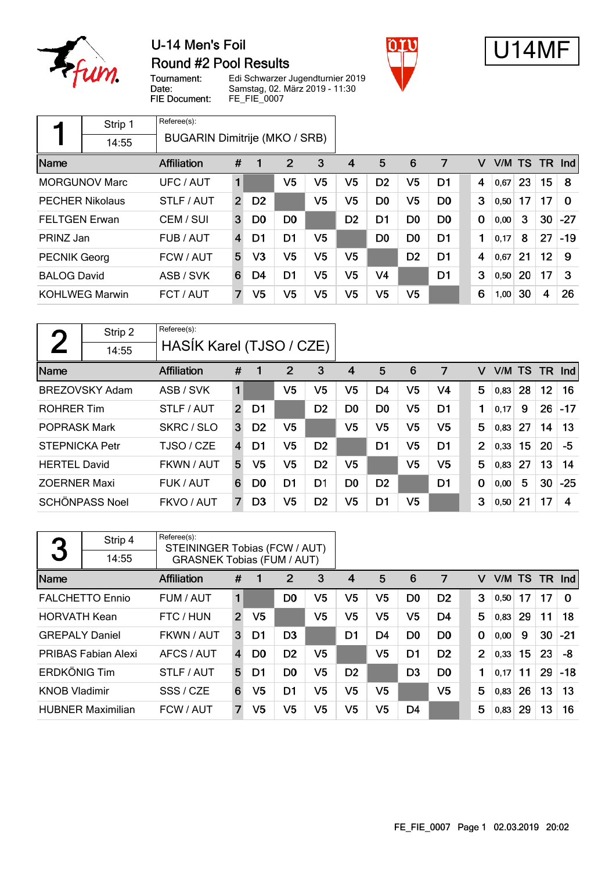

 $\sqrt{ }$ 

## U-14 Men's Foil Round #2 Pool Results





Tournament: Date: **FIE Document:** 

Referee(s):

Edi Schwarzer Jugendturnier 2019 Samstag, 02. März 2019 - 11:30 FE\_FIE\_0007 ٦

|                      | Strip 1                | Referee(s):                   |                |                |                |                |                |                |                |                |             |      |           |                         |          |
|----------------------|------------------------|-------------------------------|----------------|----------------|----------------|----------------|----------------|----------------|----------------|----------------|-------------|------|-----------|-------------------------|----------|
|                      | 14:55                  | BUGARIN Dimitrije (MKO / SRB) |                |                |                |                |                |                |                |                |             |      |           |                         |          |
| Name                 |                        | <b>Affiliation</b>            | #              | 1              | 2              | 3              | 4              | 5              | 6              | 7              | v           | V/M  | <b>TS</b> | TR.                     | Ind      |
|                      | <b>MORGUNOV Marc</b>   | UFC / AUT                     | 1              |                | V <sub>5</sub> | V <sub>5</sub> | V <sub>5</sub> | D <sub>2</sub> | V <sub>5</sub> | D1             | 4           | 0,67 | 23        | 15                      | 8        |
|                      | <b>PECHER Nikolaus</b> | STLF / AUT                    | $\overline{2}$ | D <sub>2</sub> |                | V5             | V5             | D <sub>0</sub> | V <sub>5</sub> | D <sub>0</sub> | 3           | 0,50 | 17        | 17                      | $\Omega$ |
| <b>FELTGEN Erwan</b> |                        | CEM / SUI                     | 3              | D <sub>0</sub> | D <sub>0</sub> |                | D <sub>2</sub> | D <sub>1</sub> | D <sub>0</sub> | D <sub>0</sub> | $\mathbf 0$ | 0,00 | 3         | 30                      | $-27$    |
| PRINZ Jan            |                        | FUB / AUT                     | 4              | D1             | D1             | V5             |                | D <sub>0</sub> | D <sub>0</sub> | D <sub>1</sub> | 1           | 0,17 | 8         | 27                      | $-19$    |
| <b>PECNIK Georg</b>  |                        | FCW / AUT                     | 5              | V <sub>3</sub> | V <sub>5</sub> | V <sub>5</sub> | V <sub>5</sub> |                | D <sub>2</sub> | D <sub>1</sub> | 4           | 0,67 | 21        | 12                      | 9        |
| <b>BALOG David</b>   |                        | ASB / SVK                     | 6              | D4             | D1             | V <sub>5</sub> | V <sub>5</sub> | V <sub>4</sub> |                | D <sub>1</sub> | 3           | 0,50 | 20        | 17                      | 3        |
|                      | <b>KOHLWEG Marwin</b>  | FCT / AUT                     | 7              | V <sub>5</sub> | V <sub>5</sub> | V <sub>5</sub> | V <sub>5</sub> | V <sub>5</sub> | V <sub>5</sub> |                | 6           | 1,00 | 30        | $\overline{\mathbf{4}}$ | 26       |

| $\mathbf{\Omega}$     | Strip 2               | Referee(s):              |   |                |                |                |                |                |                |                |             |      |           |     |                      |
|-----------------------|-----------------------|--------------------------|---|----------------|----------------|----------------|----------------|----------------|----------------|----------------|-------------|------|-----------|-----|----------------------|
|                       | 14:55                 | HASIK Karel (TJSO / CZE) |   |                |                |                |                |                |                |                |             |      |           |     |                      |
| Name                  |                       | Affiliation              | # |                | 2              | 3              | 4              | 5              | 6              | 7              | v           | V/M  | <b>TS</b> | TR. | $\lfloor nd \rfloor$ |
|                       | <b>BREZOVSKY Adam</b> | ASB / SVK                | 1 |                | V5             | V5             | V5             | D <sub>4</sub> | V <sub>5</sub> | V4             | 5           | 0,83 | 28        | 12  | 16                   |
| <b>ROHRER Tim</b>     |                       | STLF / AUT               | 2 | D1             |                | D <sub>2</sub> | D <sub>0</sub> | D <sub>0</sub> | V <sub>5</sub> | D <sub>1</sub> |             | 0,17 | 9         | 26  | $-17$                |
| <b>POPRASK Mark</b>   |                       | SKRC / SLO               | 3 | D <sub>2</sub> | V <sub>5</sub> |                | V <sub>5</sub> | V <sub>5</sub> | V <sub>5</sub> | V <sub>5</sub> | 5           | 0,83 | 27        | 14  | 13                   |
| <b>STEPNICKA Petr</b> |                       | TJSO / CZE               | 4 | D1             | V5             | D <sub>2</sub> |                | D <sub>1</sub> | V5             | D <sub>1</sub> | 2           | 0,33 | 15        | 20  | -5                   |
| <b>HERTEL David</b>   |                       | FKWN / AUT               | 5 | V5             | V5             | D <sub>2</sub> | V5             |                | V <sub>5</sub> | V5             | 5           | 0.83 | 27        | 13  | 14                   |
| <b>ZOERNER Maxi</b>   |                       | FUK / AUT                | 6 | D <sub>0</sub> | D <sub>1</sub> | D <sub>1</sub> | D <sub>0</sub> | D <sub>2</sub> |                | D <sub>1</sub> | $\mathbf 0$ | 0,00 | 5         | 30  | $-25$                |
|                       | <b>SCHÖNPASS Noel</b> | FKVO / AUT               | 7 | D3             | V5             | D <sub>2</sub> | V <sub>5</sub> | D <sub>1</sub> | V5             |                | 3           | 0,50 | 21        | 17  | 4                    |

| 3                     | Strip 4                  | Referee(s):<br>STEININGER Tobias (FCW / AUT) |                |                |                |    |                |                |                |                |                |        |    |           |          |
|-----------------------|--------------------------|----------------------------------------------|----------------|----------------|----------------|----|----------------|----------------|----------------|----------------|----------------|--------|----|-----------|----------|
|                       | 14:55                    | <b>GRASNEK Tobias (FUM / AUT)</b>            |                |                |                |    |                |                |                |                |                |        |    |           |          |
| Name                  |                          | <b>Affiliation</b>                           | #              | -1             | $\overline{2}$ | 3  | 4              | 5              | 6              | 7              | v              | V/M TS |    | <b>TR</b> | Ind      |
|                       | <b>FALCHETTO Ennio</b>   | FUM / AUT                                    |                |                | D <sub>0</sub> | V5 | V5             | V <sub>5</sub> | D <sub>0</sub> | D <sub>2</sub> | 3              | 0,50   | 17 | 17        | $\Omega$ |
| <b>HORVATH Kean</b>   |                          | FTC / HUN                                    | $\overline{2}$ | V <sub>5</sub> |                | V5 | V5             | V <sub>5</sub> | V5             | D <sub>4</sub> | 5              | 0,83   | 29 | 11        | 18       |
| <b>GREPALY Daniel</b> |                          | FKWN / AUT                                   | 3              | D1             | D <sub>3</sub> |    | D1             | D <sub>4</sub> | D <sub>0</sub> | D <sub>0</sub> | 0              | 0,00   | 9  | 30        | $-21$    |
|                       | PRIBAS Fabian Alexi      | AFCS / AUT                                   | $\overline{4}$ | D <sub>0</sub> | D <sub>2</sub> | V5 |                | V <sub>5</sub> | D <sub>1</sub> | D <sub>2</sub> | $\overline{2}$ | 0,33   | 15 | 23        | -8       |
| <b>ERDKÖNIG Tim</b>   |                          | STLF / AUT                                   | 5              | D1             | D <sub>0</sub> | V5 | D <sub>2</sub> |                | D <sub>3</sub> | D <sub>0</sub> | 1              | 0,17   | 11 | 29        | $-18$    |
| <b>KNOB Vladimir</b>  |                          | SSS / CZE                                    | 6              | V5             | D <sub>1</sub> | V5 | V5             | V <sub>5</sub> |                | V <sub>5</sub> | 5              | 0,83   | 26 | 13        | 13       |
|                       | <b>HUBNER Maximilian</b> | FCW / AUT                                    | 7              | V5             | V5             | V5 | V5             | V <sub>5</sub> | D <sub>4</sub> |                | 5              | 0,83   | 29 | 13        | 16       |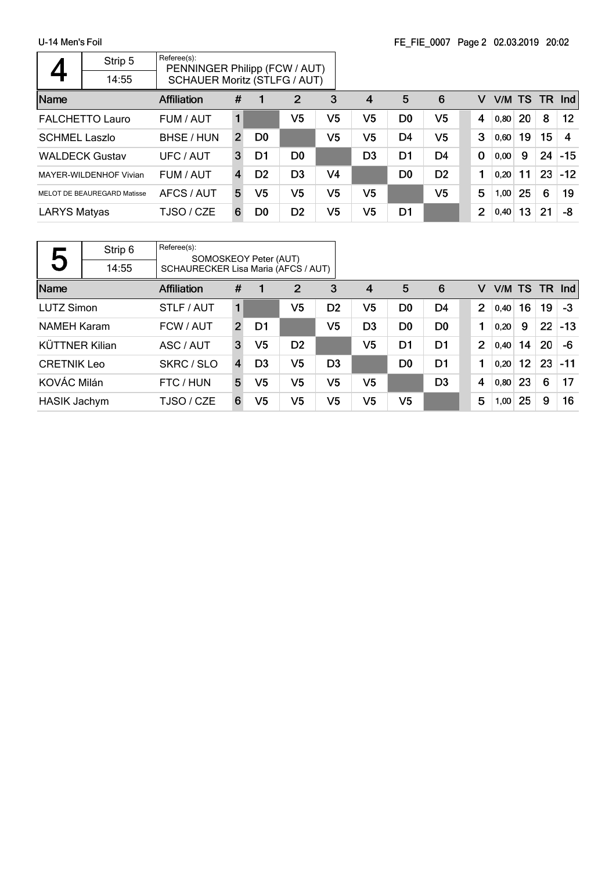|                      | Strip 5                     | Referee(s):<br>PENNINGER Philipp (FCW / AUT) |                |                |                |                |                         |                |                |          |        |    |       |            |
|----------------------|-----------------------------|----------------------------------------------|----------------|----------------|----------------|----------------|-------------------------|----------------|----------------|----------|--------|----|-------|------------|
|                      | 14:55                       | <b>SCHAUER Moritz (STLFG / AUT)</b>          |                |                |                |                |                         |                |                |          |        |    |       |            |
| Name                 |                             | <b>Affiliation</b>                           | #              |                | $\overline{2}$ | 3              | $\overline{\mathbf{4}}$ | 5              | 6              | v        | V/M TS |    | -TR - | <b>Ind</b> |
|                      | <b>FALCHETTO Lauro</b>      | FUM / AUT                                    |                |                | V5             | V5             | V5                      | D <sub>0</sub> | V <sub>5</sub> | 4        | 0,80   | 20 | 8     | $12 \,$    |
| <b>SCHMEL Laszlo</b> |                             | BHSE / HUN                                   | $\overline{2}$ | D <sub>0</sub> |                | V5             | V5                      | D <sub>4</sub> | V <sub>5</sub> | 3        | 0,60   | 19 | 15    | 4          |
|                      | <b>WALDECK Gustav</b>       | UFC / AUT                                    | 3              | D1             | D <sub>0</sub> |                | D3                      | D <sub>1</sub> | D <sub>4</sub> | $\bf{0}$ | 0,00   | 9  | 24    | $-15$      |
|                      | MAYER-WILDENHOF Vivian      | FUM / AUT                                    | 4              | D <sub>2</sub> | D <sub>3</sub> | V <sub>4</sub> |                         | D <sub>0</sub> | D <sub>2</sub> |          | 0,20   | 11 | 23    | $-12$      |
|                      | MELOT DE BEAUREGARD Matisse | AFCS / AUT                                   | 5              | V5             | V5             | V5             | V5                      |                | V <sub>5</sub> | 5        | 1,00   | 25 | 6     | 19         |
| <b>LARYS Matyas</b>  |                             | TJSO / CZE                                   | 6              | D <sub>0</sub> | D <sub>2</sub> | V5             | V5                      | D1             |                | 2        | 0,40   | 13 | 21    | -8         |

| ις                         | Strip 6 | Referee(s): |                                                              |                |                |                |                |                |                |                |        |                 |    |        |
|----------------------------|---------|-------------|--------------------------------------------------------------|----------------|----------------|----------------|----------------|----------------|----------------|----------------|--------|-----------------|----|--------|
| J                          | 14:55   |             | SOMOSKEOY Peter (AUT)<br>SCHAURECKER Lisa Maria (AFCS / AUT) |                |                |                |                |                |                |                |        |                 |    |        |
| Name<br><b>Affiliation</b> |         |             | #                                                            |                | $\overline{2}$ | 3              | 4              | 5              | 6              | v              | V/M TS |                 |    | TR Ind |
| <b>LUTZ Simon</b>          |         | STLF / AUT  | 1                                                            |                | V5             | D <sub>2</sub> | V5             | D <sub>0</sub> | D4             | $\overline{2}$ | 0.40   | 16              | 19 | -3     |
| <b>NAMEH Karam</b>         |         | FCW / AUT   | $\overline{2}$                                               | D1             |                | V5             | D <sub>3</sub> | D <sub>0</sub> | D <sub>0</sub> |                | 0,20   | 9               | 22 | $-13$  |
| <b>KÜTTNER Kilian</b>      |         | ASC / AUT   | 3                                                            | V5             | D <sub>2</sub> |                | V5             | D1             | D <sub>1</sub> | $\overline{2}$ | 0,40   | 14              | 20 | -6     |
| <b>CRETNIK Leo</b>         |         | SKRC / SLO  | $\overline{4}$                                               | D <sub>3</sub> | V <sub>5</sub> | D <sub>3</sub> |                | D <sub>0</sub> | D <sub>1</sub> |                | 0,20   | 12 <sup>°</sup> | 23 | $-11$  |
| KOVÁC Milán                |         | FTC / HUN   | 5                                                            | V5             | V <sub>5</sub> | V <sub>5</sub> | V <sub>5</sub> |                | D <sub>3</sub> | 4              | 0,80   | 23              | 6  | 17     |
| <b>HASIK Jachym</b>        |         | TJSO / CZE  | 6                                                            | V5             | V <sub>5</sub> | V <sub>5</sub> | V <sub>5</sub> | V <sub>5</sub> |                | 5              | 1,00   | 25              | 9  | 16     |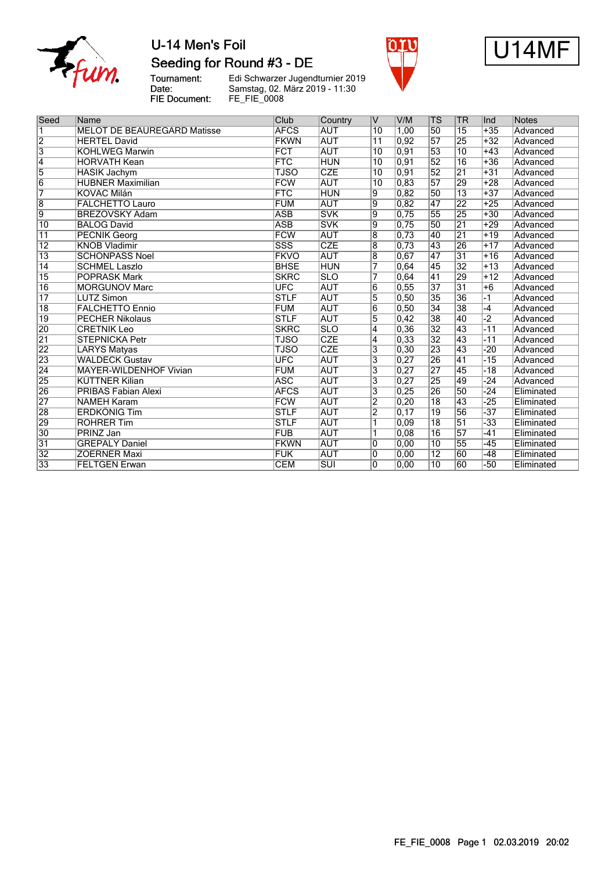

## U-14 Men's Foil Seeding for Round #3 - DE





Tournament:<br>Date: FIE Document:

Edi Schwarzer Jugendturnier 2019 Samstag, 02. März 2019 - 11:30 FE\_FIE\_0008

| Seed            | Name                               | Club                    | Country                 | V                         | V/M   | <b>TS</b>       | <b>TR</b>       | Ind   | Notes      |
|-----------------|------------------------------------|-------------------------|-------------------------|---------------------------|-------|-----------------|-----------------|-------|------------|
| $\overline{1}$  | <b>MELOT DE BEAUREGARD Matisse</b> | <b>AFCS</b>             | <b>AUT</b>              | 10                        | 1.00  | 50              | 15              | $+35$ | Advanced   |
| $\overline{2}$  | <b>HERTEL David</b>                | <b>FKWN</b>             | <b>AUT</b>              | 11                        | 0,92  | $\overline{57}$ | 25              | $+32$ | Advanced   |
| $\overline{3}$  | <b>KOHLWEG Marwin</b>              | <b>FCT</b>              | <b>AUT</b>              | $\overline{10}$           | 0, 91 | 53              | 10              | $+43$ | Advanced   |
| $\overline{4}$  | <b>HORVATH Kean</b>                | <b>FTC</b>              | <b>HUN</b>              | 10                        | 0, 91 | $\overline{52}$ | 16              | $+36$ | Advanced   |
| $\overline{5}$  | <b>HASIK Jachym</b>                | <b>TJSO</b>             | CZE                     | 10                        | 0,91  | $\overline{52}$ | $\overline{21}$ | $+31$ | Advanced   |
| $\overline{6}$  | <b>HUBNER Maximilian</b>           | <b>FCW</b>              | <b>AUT</b>              | $\overline{10}$           | 0,83  | $\overline{57}$ | 29              | $+28$ | Advanced   |
| 7               | <b>KOVÁC Milán</b>                 | <b>FTC</b>              | <b>HUN</b>              | 9                         | 0,82  | 50              | $\overline{13}$ | $+37$ | Advanced   |
| $\overline{8}$  | <b>FALCHETTO Lauro</b>             | <b>FUM</b>              | <b>AUT</b>              | $\overline{9}$            | 0,82  | 47              | 22              | $+25$ | Advanced   |
| $\overline{9}$  | <b>BREZOVSKY Adam</b>              | <b>ASB</b>              | <b>SVK</b>              | $\overline{9}$            | 0,75  | 55              | 25              | $+30$ | Advanced   |
| $\overline{10}$ | <b>BALOG David</b>                 | <b>ASB</b>              | <b>SVK</b>              | 9                         | 0,75  | 50              | $\overline{21}$ | $+29$ | Advanced   |
| $\overline{11}$ | <b>PECNIK Georg</b>                | <b>FCW</b>              | <b>AUT</b>              | $\overline{8}$            | 0,73  | 40              | 21              | $+19$ | Advanced   |
| $\overline{12}$ | <b>KNOB Vladimir</b>               | $\overline{\text{SSS}}$ | <b>CZE</b>              | $\overline{8}$            | 0,73  | 43              | 26              | $+17$ | Advanced   |
| $\overline{13}$ | <b>SCHÖNPASS Noel</b>              | <b>FKVO</b>             | <b>AUT</b>              | $\overline{8}$            | 0,67  | 47              | $\overline{31}$ | $+16$ | Advanced   |
| $\overline{14}$ | <b>SCHMEL Laszlo</b>               | <b>BHSE</b>             | <b>HUN</b>              | 7                         | 0,64  | 45              | 32              | $+13$ | Advanced   |
| 15              | <b>POPRASK Mark</b>                | <b>SKRC</b>             | $\overline{\text{SLO}}$ | 7                         | 0,64  | 41              | 29              | $+12$ | Advanced   |
| $\overline{16}$ | <b>MORGUNOV Marc</b>               | <b>UFC</b>              | <b>AUT</b>              | 6                         | 0,55  | 37              | 31              | $+6$  | Advanced   |
| $\overline{17}$ | <b>LUTZ Simon</b>                  | <b>STLF</b>             | <b>AUT</b>              | 5                         | 0,50  | 35              | 36              | $-1$  | Advanced   |
| $\overline{18}$ | <b>FALCHETTO Ennio</b>             | <b>FUM</b>              | <b>AUT</b>              | $\overline{6}$            | 0,50  | 34              | 38              | $-4$  | Advanced   |
| $\overline{19}$ | <b>PECHER Nikolaus</b>             | <b>STLF</b>             | <b>AUT</b>              | 5                         | 0,42  | 38              | 40              | $-2$  | Advanced   |
| 20              | <b>CRETNIK Leo</b>                 | <b>SKRC</b>             | <b>SLO</b>              | $\overline{4}$            | 0,36  | $\overline{32}$ | 43              | $-11$ | Advanced   |
| $\overline{21}$ | <b>STEPNICKA Petr</b>              | TJSO                    | <b>CZE</b>              | $\overline{4}$            | 0,33  | $\overline{32}$ | 43              | $-11$ | Advanced   |
| 22              | <b>LARYS Matyas</b>                | <b>TJSO</b>             | <b>CZE</b>              | $\overline{3}$            | 0,30  | 23              | 43              | $-20$ | Advanced   |
| 23              | <b>WALDECK Gustav</b>              | <b>UFC</b>              | <b>AUT</b>              | $\overline{3}$            | 0,27  | 26              | $\overline{41}$ | $-15$ | Advanced   |
| $\overline{24}$ | <b>MAYER-WILDENHOF Vivian</b>      | <b>FUM</b>              | <b>AUT</b>              | 3                         | 0,27  | 27              | 45              | $-18$ | Advanced   |
| 25              | <b>KÜTTNER Kilian</b>              | <b>ASC</b>              | <b>AUT</b>              | 3                         | 0,27  | 25              | 49              | $-24$ | Advanced   |
| 26              | <b>PRIBAS Fabian Alexi</b>         | <b>AFCS</b>             | <b>AUT</b>              | $\overline{\overline{3}}$ | 0,25  | 26              | 50              | $-24$ | Eliminated |
| 27              | <b>NAMEH Karam</b>                 | <b>FCW</b>              | <b>AUT</b>              | $\overline{2}$            | 0,20  | $\overline{18}$ | 43              | $-25$ | Eliminated |
| 28              | <b>ERDKÖNIG Tim</b>                | <b>STLF</b>             | <b>AUT</b>              | $\overline{2}$            | 0,17  | $\overline{19}$ | 56              | $-37$ | Eliminated |
| 29              | <b>ROHRER Tim</b>                  | <b>STLF</b>             | <b>AUT</b>              | $\overline{1}$            | 0,09  | $\overline{18}$ | $\overline{51}$ | $-33$ | Eliminated |
| 30              | <b>PRINZ Jan</b>                   | <b>FUB</b>              | <b>AUT</b>              | 1                         | 0,08  | 16              | 57              | $-41$ | Eliminated |
| $\overline{31}$ | <b>GREPALY Daniel</b>              | <b>FKWN</b>             | <b>AUT</b>              | 0                         | 0,00  | 10              | 55              | $-45$ | Eliminated |
| $\overline{32}$ | <b>ZOERNER Maxi</b>                | <b>FUK</b>              | <b>AUT</b>              | $\overline{0}$            | 0,00  | $\overline{12}$ | 60              | $-48$ | Eliminated |
| $\overline{33}$ | <b>FELTGEN Erwan</b>               | <b>CEM</b>              | $\overline{\text{SUI}}$ | 0                         | 0,00  | $\overline{10}$ | 60              | $-50$ | Eliminated |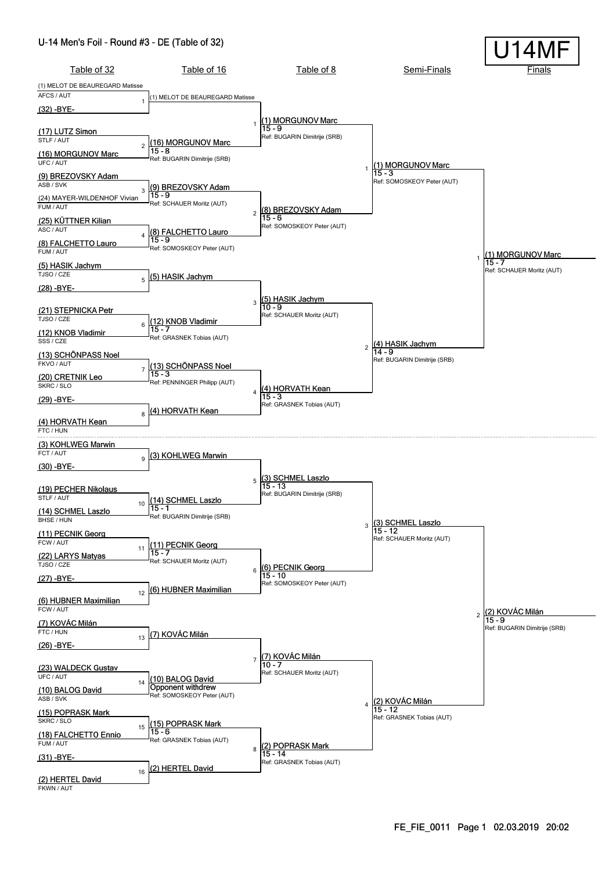#### U-14 Men's Foil - Round #3 - DE (Table of 32)

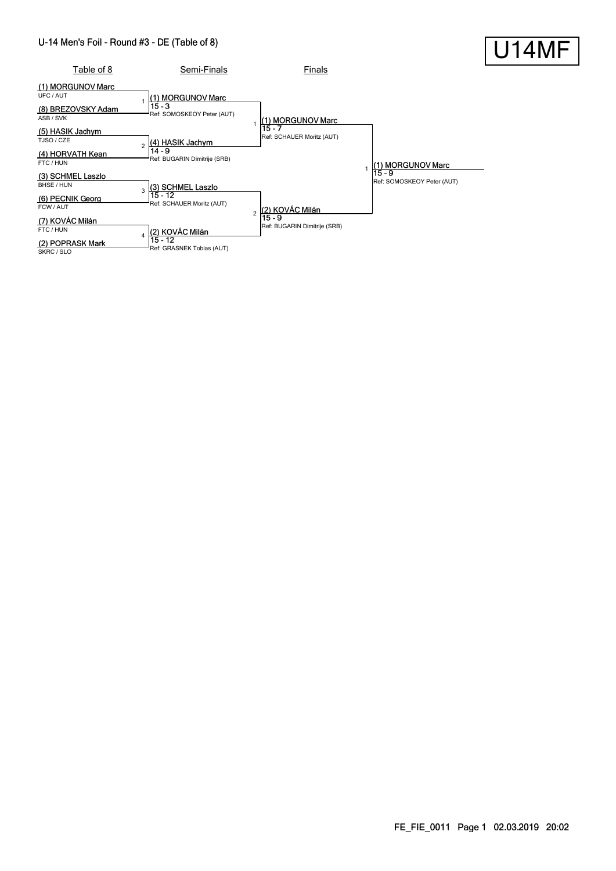#### U-14 Men's Foil - Round #3 - DE (Table of 8)

| U-14 Men's Foil - Round #3 - DE (Table of 8)                                          |                                                                                         |                                        |                                        | U14MF |
|---------------------------------------------------------------------------------------|-----------------------------------------------------------------------------------------|----------------------------------------|----------------------------------------|-------|
| Table of 8                                                                            | Semi-Finals                                                                             | Finals                                 |                                        |       |
| (1) MORGUNOV Marc<br>UFC / AUT<br>(8) BREZOVSKY Adam<br>ASB / SVK<br>(5) HASIK Jachym | (1) MORGUNOV Marc<br>$15 - 3$<br>Ref: SOMOSKEOY Peter (AUT)                             | (1) MORGUNOV Marc<br>15 - 7            |                                        |       |
| TJSO / CZE<br>(4) HORVATH Kean<br>FTC / HUN                                           | (4) HASIK Jachym<br>$\overline{\mathbf{c}}$<br>$14 - 9$<br>Ref: BUGARIN Dimitrije (SRB) | Ref: SCHAUER Moritz (AUT)              | (1) MORGUNOV Marc                      |       |
| (3) SCHMEL Laszlo<br>BHSE / HUN<br>(6) PECNIK Georg<br>FCW / AUT                      | (3) SCHMEL Laszlo<br>3<br>$15 - 12$<br>Ref: SCHAUER Moritz (AUT)                        | (2) KOVÁC Milán<br>$\mathfrak{p}$      | $15 - 9$<br>Ref: SOMOSKEOY Peter (AUT) |       |
| (7) KOVÁC Milán<br>FTC / HUN<br>(2) POPRASK Mark<br>SKRC / SLO                        | (2) KOVÁC Milán<br>$\boldsymbol{\Delta}$<br>$15 - 12$<br>Ref: GRASNEK Tobias (AUT)      | 15 - 9<br>Ref: BUGARIN Dimitrije (SRB) |                                        |       |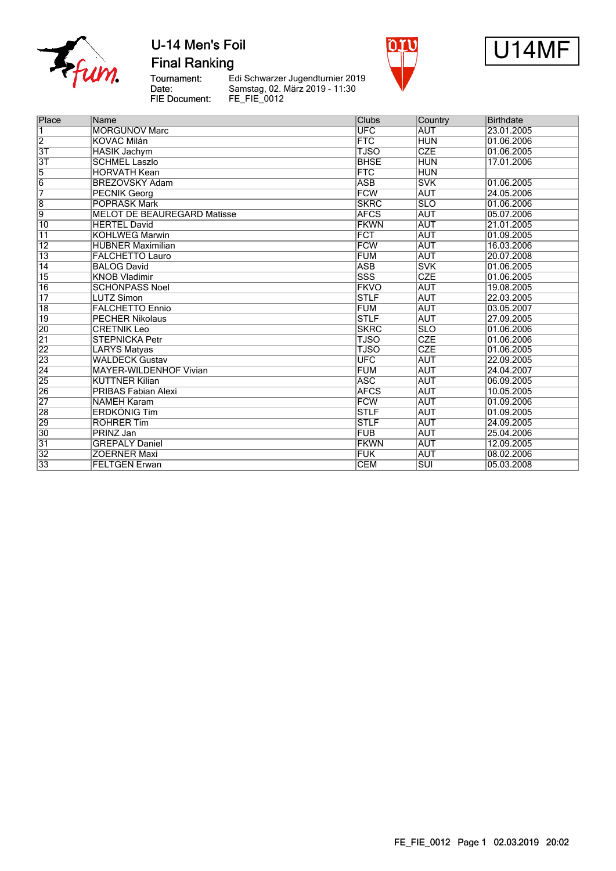

**Final Ranking** 

Tournament:<br>Date: FIE Document: Le Schwarzer Jugendturnier 2019<br>Samstag, 02. März 2019 - 11:30<br>FE\_FIE\_0012





| Place           | Name                               | <b>Clubs</b>            |            | <b>Birthdate</b> |
|-----------------|------------------------------------|-------------------------|------------|------------------|
|                 |                                    |                         | Country    |                  |
| $\vert$ 1       | <b>MORGUNOV Marc</b>               | <b>UFC</b>              | <b>AUT</b> | 23.01.2005       |
| $\overline{2}$  | <b>KOVÁC Milán</b>                 | FTC                     | <b>HUN</b> | 01.06.2006       |
| 3T              | <b>HASIK Jachym</b>                | <b>TJSO</b>             | <b>CZE</b> | 01.06.2005       |
| $\overline{3T}$ | <b>SCHMEL Laszlo</b>               | <b>BHSE</b>             | <b>HUN</b> | 17.01.2006       |
| $\overline{5}$  | <b>HORVATH Kean</b>                | <b>FTC</b>              | <b>HUN</b> |                  |
| $\overline{6}$  | <b>BREZOVSKY Adam</b>              | <b>ASB</b>              | <b>SVK</b> | 01.06.2005       |
| 7               | <b>PECNIK Georg</b>                | <b>FCW</b>              | <b>AUT</b> | 24.05.2006       |
| $\overline{8}$  | <b>POPRASK Mark</b>                | <b>SKRC</b>             | <b>SLO</b> | 01.06.2006       |
| $\overline{9}$  | <b>MELOT DE BEAUREGARD Matisse</b> | <b>AFCS</b>             | <b>AUT</b> | 05.07.2006       |
| $\overline{10}$ | <b>HERTEL David</b>                | <b>FKWN</b>             | <b>AUT</b> | 21.01.2005       |
| $\overline{11}$ | <b>KOHLWEG Marwin</b>              | <b>FCT</b>              | <b>AUT</b> | 01.09.2005       |
| $\overline{12}$ | <b>HUBNER Maximilian</b>           | <b>FCW</b>              | <b>AUT</b> | 16.03.2006       |
| $\overline{13}$ | <b>FALCHETTO Lauro</b>             | <b>FUM</b>              | <b>AUT</b> | 20.07.2008       |
| $\overline{14}$ | <b>BALOG David</b>                 | <b>ASB</b>              | <b>SVK</b> | 01.06.2005       |
| $\overline{15}$ | <b>KNOB Vladimir</b>               | $\overline{\text{SSS}}$ | CZE        | 01.06.2005       |
| 16              | <b>SCHÖNPASS Noel</b>              | <b>FKVO</b>             | <b>AUT</b> | 19.08.2005       |
| $\overline{17}$ | <b>LUTZ Simon</b>                  | <b>STLF</b>             | <b>AUT</b> | 22.03.2005       |
| $\overline{18}$ | <b>FALCHETTO Ennio</b>             | <b>FUM</b>              | <b>AUT</b> | 03.05.2007       |
| 19              | <b>PECHER Nikolaus</b>             | <b>STLF</b>             | <b>AUT</b> | 27.09.2005       |
| 20              | <b>CRETNIK Leo</b>                 | <b>SKRC</b>             | <b>SLO</b> | 01.06.2006       |
| $\overline{21}$ | <b>STEPNICKA Petr</b>              | <b>TJSO</b>             | CZE        | 01.06.2006       |
| $\overline{22}$ | <b>LARYS Matyas</b>                | <b>TJSO</b>             | <b>CZE</b> | 01.06.2005       |
| 23              | <b>WALDECK Gustav</b>              | $\overline{\text{UFC}}$ | <b>AUT</b> | 22.09.2005       |
| $\overline{24}$ | <b>MAYER-WILDENHOF Vivian</b>      | <b>FUM</b>              | <b>AUT</b> | 24.04.2007       |
| $\overline{25}$ | <b>KÜTTNER Kilian</b>              | <b>ASC</b>              | <b>AUT</b> | 06.09.2005       |
| $\overline{26}$ | <b>PRIBAS Fabian Alexi</b>         | <b>AFCS</b>             | <b>AUT</b> | 10.05.2005       |
| $\overline{27}$ | <b>NAMEH Karam</b>                 | <b>FCW</b>              | <b>AUT</b> | 01.09.2006       |
| 28              | <b>ERDKÖNIG Tim</b>                | <b>STLF</b>             | <b>AUT</b> | 01.09.2005       |
| 29              | <b>ROHRER Tim</b>                  | <b>STLF</b>             | <b>AUT</b> | 24.09.2005       |
| 30              | PRINZ Jan                          | <b>FUB</b>              | <b>AUT</b> | 25.04.2006       |
| 31              | <b>GREPALY Daniel</b>              | <b>FKWN</b>             | <b>AUT</b> | 12.09.2005       |
| $\overline{32}$ | <b>ZOERNER Maxi</b>                | <b>FUK</b>              | <b>AUT</b> | 08.02.2006       |
| 33              | <b>FELTGEN Erwan</b>               | <b>CEM</b>              | <b>SUI</b> | 05.03.2008       |